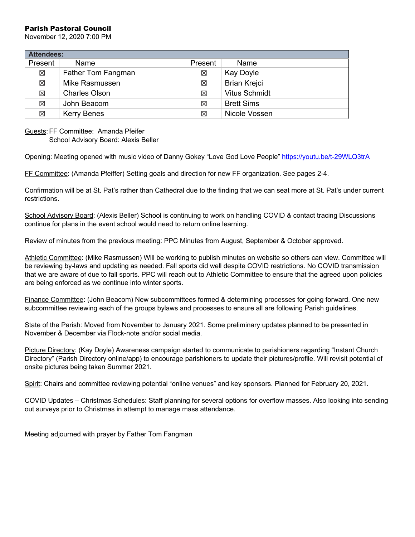#### Parish Pastoral Council

November 12, 2020 7:00 PM

| <b>Attendees:</b> |                      |         |                      |
|-------------------|----------------------|---------|----------------------|
| Present           | Name                 | Present | Name                 |
| 区                 | Father Tom Fangman   | 区       | Kay Doyle            |
| 区                 | Mike Rasmussen       | 区       | <b>Brian Krejci</b>  |
| 区                 | <b>Charles Olson</b> | 区       | <b>Vitus Schmidt</b> |
| 区                 | John Beacom          | 冈       | <b>Brett Sims</b>    |
| 区                 | <b>Kerry Benes</b>   | 冈       | Nicole Vossen        |

#### Guests:FF Committee: Amanda Pfeifer

School Advisory Board: Alexis Beller

Opening: Meeting opened with music video of Danny Gokey "Love God Love People" https://youtu.be/t-29WLQ3trA

FF Committee: (Amanda Pfeiffer) Setting goals and direction for new FF organization. See pages 2-4.

Confirmation will be at St. Pat's rather than Cathedral due to the finding that we can seat more at St. Pat's under current restrictions.

School Advisory Board: (Alexis Beller) School is continuing to work on handling COVID & contact tracing Discussions continue for plans in the event school would need to return online learning.

Review of minutes from the previous meeting: PPC Minutes from August, September & October approved.

Athletic Committee: (Mike Rasmussen) Will be working to publish minutes on website so others can view. Committee will be reviewing by-laws and updating as needed. Fall sports did well despite COVID restrictions. No COVID transmission that we are aware of due to fall sports. PPC will reach out to Athletic Committee to ensure that the agreed upon policies are being enforced as we continue into winter sports.

Finance Committee: (John Beacom) New subcommittees formed & determining processes for going forward. One new subcommittee reviewing each of the groups bylaws and processes to ensure all are following Parish guidelines.

State of the Parish: Moved from November to January 2021. Some preliminary updates planned to be presented in November & December via Flock-note and/or social media.

Picture Directory: (Kay Doyle) Awareness campaign started to communicate to parishioners regarding "Instant Church Directory" (Parish Directory online/app) to encourage parishioners to update their pictures/profile. Will revisit potential of onsite pictures being taken Summer 2021.

Spirit: Chairs and committee reviewing potential "online venues" and key sponsors. Planned for February 20, 2021.

COVID Updates – Christmas Schedules: Staff planning for several options for overflow masses. Also looking into sending out surveys prior to Christmas in attempt to manage mass attendance.

Meeting adjourned with prayer by Father Tom Fangman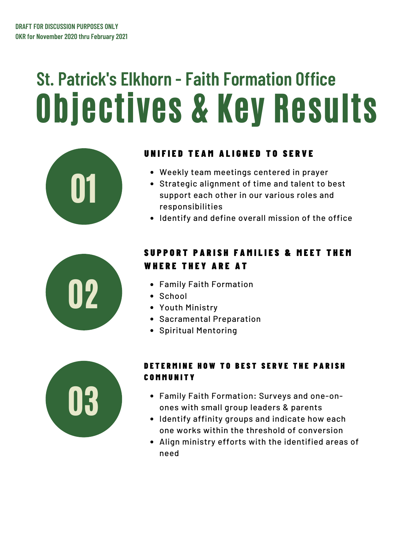# Objectives & Key Results **St. Patrick's Elkhorn - Faith Formation Office**



## UNIFIED TEAM ALIGNED TO SERVE

- 
- Weekly team meetings centered in prayer<br>Strategic alignment of time and talent to b<br>support each other in our various roles an<br>responsibilities Strategic alignment of time and talent to best support each other in our various roles and responsibilities
	- Identify and define overall mission of the office



# SUPPORT PARISH FAMILIES & MEET THEM WHERE THEY ARE AT

- 
- School
- Youth Ministry
- **Sacramental Preparation**
- **•** Spiritual Mentoring



### DETERMINE HOW TO REST SERVE THE PARISH **COMMUNITY**

- 03 Family Faith Formation: Surveys and one-onones with small group leaders & parents
- Identify affinity groups and indicate how each one works within the threshold of conversion
- Align ministry efforts with the identified areas of need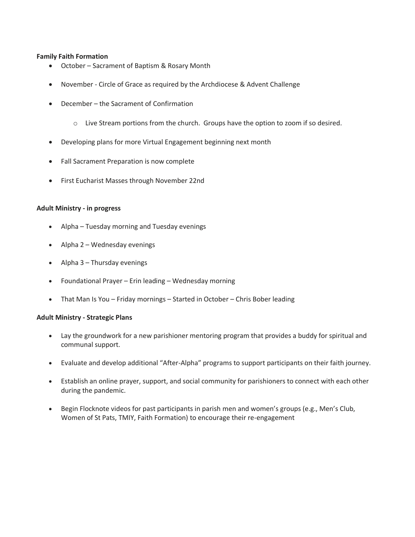#### **Family Faith Formation**

- October Sacrament of Baptism & Rosary Month
- November Circle of Grace as required by the Archdiocese & Advent Challenge
- December the Sacrament of Confirmation
	- o Live Stream portions from the church. Groups have the option to zoom if so desired.
- Developing plans for more Virtual Engagement beginning next month
- Fall Sacrament Preparation is now complete
- First Eucharist Masses through November 22nd

#### **Adult Ministry - in progress**

- Alpha Tuesday morning and Tuesday evenings
- Alpha 2 Wednesday evenings
- Alpha 3 Thursday evenings
- Foundational Prayer Erin leading Wednesday morning
- That Man Is You Friday mornings Started in October Chris Bober leading

#### **Adult Ministry - Strategic Plans**

- Lay the groundwork for a new parishioner mentoring program that provides a buddy for spiritual and communal support.
- Evaluate and develop additional "After-Alpha" programs to support participants on their faith journey.
- Establish an online prayer, support, and social community for parishioners to connect with each other during the pandemic.
- Begin Flocknote videos for past participants in parish men and women's groups (e.g., Men's Club, Women of St Pats, TMIY, Faith Formation) to encourage their re-engagement